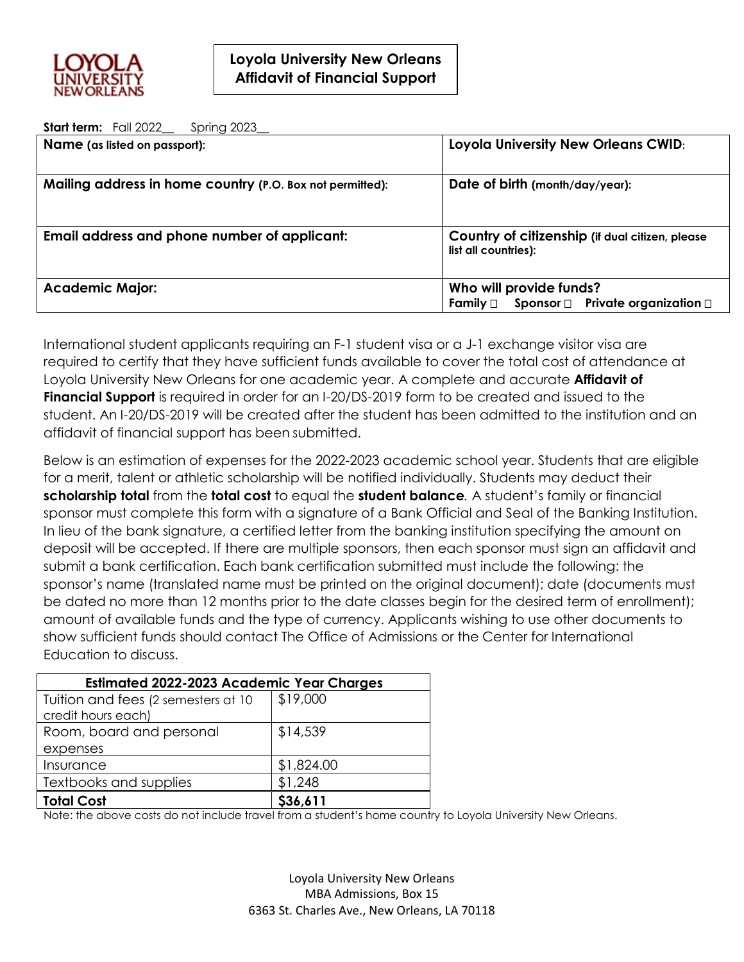

**Start term:** Fall 2022 Spring 2023

| <b>Name</b> (as listed on passport):                      | Loyola University New Orleans CWID:                                               |  |
|-----------------------------------------------------------|-----------------------------------------------------------------------------------|--|
| Mailing address in home country (P.O. Box not permitted): | Date of birth (month/day/year):                                                   |  |
| Email address and phone number of applicant:              | Country of citizenship (if dual citizen, please<br>list all countries):           |  |
| <b>Academic Major:</b>                                    | Who will provide funds?<br>Sponsor $\Box$ Private organization $\Box$<br>Familv □ |  |

International student applicants requiring an F-1 student visa or a J-1 exchange visitor visa are required to certify that they have sufficient funds available to cover the total cost of attendance at Loyola University New Orleans for one academic year. A complete and accurate **Affidavit of Financial Support** is required in order for an I-20/DS-2019 form to be created and issued to the student. An I-20/DS-2019 will be created after the student has been admitted to the institution and an affidavit of financial support has been submitted.

Below is an estimation of expenses for the 2022-2023 academic school year. Students that are eligible for a merit, talent or athletic scholarship will be notified individually. Students may deduct their **scholarship total** from the **total cost** to equal the **student balance***.* A student's family or financial sponsor must complete this form with a signature of a Bank Official and Seal of the Banking Institution. In lieu of the bank signature, a certified letter from the banking institution specifying the amount on deposit will be accepted. If there are multiple sponsors, then each sponsor must sign an affidavit and submit a bank certification. Each bank certification submitted must include the following: the sponsor's name (translated name must be printed on the original document); date (documents must be dated no more than 12 months prior to the date classes begin for the desired term of enrollment); amount of available funds and the type of currency. Applicants wishing to use other documents to show sufficient funds should contact The Office of Admissions or the Center for International Education to discuss.

| <b>Estimated 2022-2023 Academic Year Charges</b> |            |  |
|--------------------------------------------------|------------|--|
| Tuition and fees (2 semesters at 10              | \$19,000   |  |
| credit hours each)                               |            |  |
| Room, board and personal                         | \$14,539   |  |
| expenses                                         |            |  |
| Insurance                                        | \$1,824.00 |  |
| Textbooks and supplies                           | \$1,248    |  |
| <b>Total Cost</b>                                | \$36,611   |  |

Note: the above costs do not include travel from a student's home country to Loyola University New Orleans.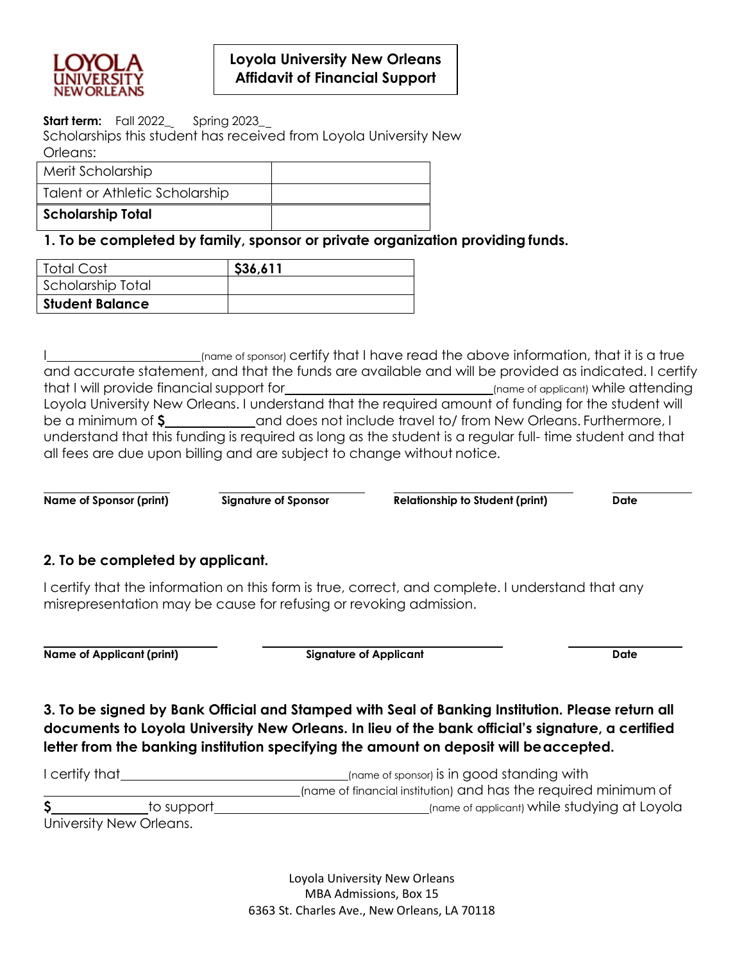

## **Loyola University New Orleans Affidavit of Financial Support**

**Start term:** Fall 2022\_ Spring 2023\_

Scholarships this student has received from Loyola University New Orleans:

| Merit Scholarship              |  |
|--------------------------------|--|
| Talent or Athletic Scholarship |  |
| <b>Scholarship Total</b>       |  |

**1. To be completed by family, sponsor or private organization providing funds.**

| Total Cost             | \$36,611 |
|------------------------|----------|
| Scholarship Total      |          |
| <b>Student Balance</b> |          |

I (name of sponsor) certify that I have read the above information, that it is a true and accurate statement, and that the funds are available and will be provided as indicated. I certify that I will provide financial support for (name of applicant) while attending Loyola University New Orleans. I understand that the required amount of funding for the student will be a minimum of  $\frac{2}{\pi}$  and does not include travel to/ from New Orleans. Furthermore, I understand that this funding is required as long as the student is a regular full- time student and that all fees are due upon billing and are subject to change without notice.

**Name of Sponsor (print) Signature of Sponsor Relationship to Student (print) Date**

## **2. To be completed by applicant.**

I certify that the information on this form is true, correct, and complete. I understand that any misrepresentation may be cause for refusing or revoking admission.

**Name of Applicant (print) Signature of Applicant Date**

**3. To be signed by Bank Official and Stamped with Seal of Banking Institution. Please return all documents to Loyola University New Orleans. In lieu of the bank official's signature, a certified letter from the banking institution specifying the amount on deposit will beaccepted.**

| I certify that |                         | (name of sponsor) is in good standing with                      |
|----------------|-------------------------|-----------------------------------------------------------------|
|                |                         | Iname of financial institution) and has the required minimum of |
|                | to support              | (name of applicant) while studying at Loyola                    |
|                | University New Orleans. |                                                                 |